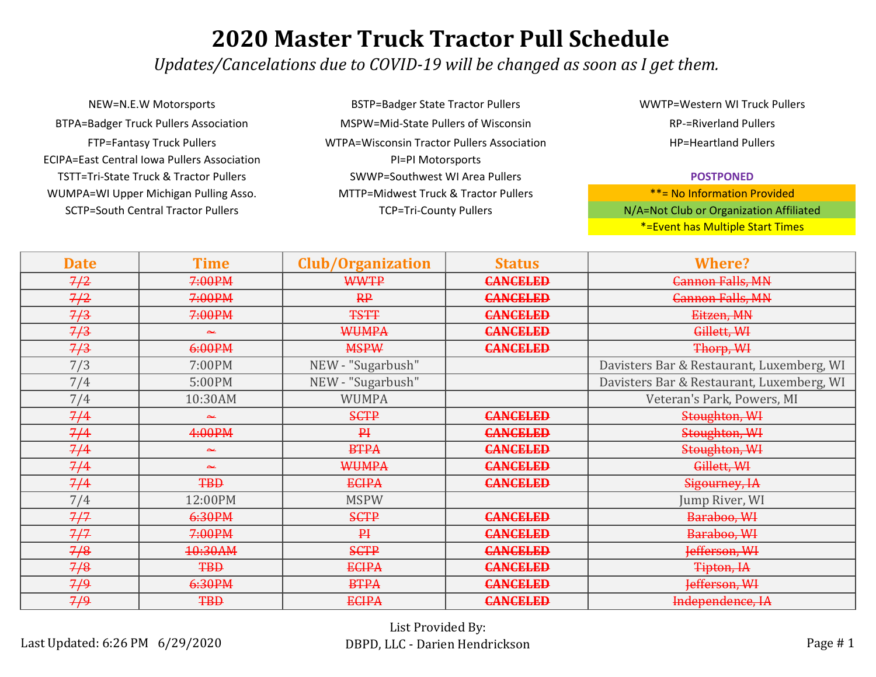*Updates/Cancelations due to COVID-19 will be changed as soon as I get them.*

WUMPA=WI Upper Michigan Pulling Asso. MTTP=Midwest Truck & Tractor Pullers SCTP=South Central Tractor Pullers TCP=Tri-County Pullers TCP=Tri-County Pullers NEW=N.E.W Motorsports BTPA=Badger Truck Pullers Association FTP=Fantasy Truck Pullers ECIPA=East Central Iowa Pullers Association TSTT=Tri-State Truck & Tractor Pullers

BSTP=Badger State Tractor Pullers MSPW=Mid-State Pullers of Wisconsin WTPA=Wisconsin Tractor Pullers Association PI=PI Motorsports SWWP=Southwest WI Area Pullers

WWTP=Western WI Truck Pullers RP-=Riverland Pullers HP=Heartland Pullers

#### **POSTPONED**

| <b>Date</b> | <b>Time</b> | <b>Club/Organization</b> | <b>Status</b>   | <b>Where?</b>                             |
|-------------|-------------|--------------------------|-----------------|-------------------------------------------|
| 7/2         | 7:00PM      | <b>WWTP</b>              | <b>CANCELED</b> | <b>Cannon Falls, MN</b>                   |
| 7/2         | 7:00PM      | RP                       | <b>CANCELED</b> | <b>Cannon Falls, MN</b>                   |
| 7/3         | 7:00PM      | <b>TSTT</b>              | <b>CANCELED</b> | Eitzen, MN                                |
| 7/3         | عد          | <b>WUMPA</b>             | <b>CANCELED</b> | Gillett, WH                               |
| 7/3         | 6:00PM      | <b>MSPW</b>              | <b>CANCELED</b> | Thorp, WH                                 |
| 7/3         | 7:00PM      | NEW - "Sugarbush"        |                 | Davisters Bar & Restaurant, Luxemberg, WI |
| 7/4         | 5:00PM      | NEW - "Sugarbush"        |                 | Davisters Bar & Restaurant, Luxemberg, WI |
| 7/4         | 10:30AM     | <b>WUMPA</b>             |                 | Veteran's Park, Powers, MI                |
| 7/4         | عبد         | <b>SCTP</b>              | <b>CANCELED</b> | Stoughton, WI                             |
| 7/4         | 4:00PM      | $P+$                     | <b>CANCELED</b> | Stoughton, WI                             |
| 7/4         | عد          | <b>BTPA</b>              | <b>CANCELED</b> | Stoughton, WI                             |
| 7/4         | عد          | <b>WUMPA</b>             | <b>CANCELED</b> | Gillett, WH                               |
| 7/4         | <b>TBD</b>  | <b>ECIPA</b>             | <b>CANCELED</b> | Sigourney, IA                             |
| 7/4         | 12:00PM     | <b>MSPW</b>              |                 | Jump River, WI                            |
| 7/7         | 6:30PM      | <b>SCTP</b>              | <b>CANCELED</b> | Baraboo, WI                               |
| 7/7         | 7:00PM      | $P+$                     | <b>CANCELED</b> | Baraboo, WI                               |
| 7/8         | 10:30AM     | <b>SCTP</b>              | <b>CANCELED</b> | Jefferson, WI                             |
| 7/8         | <b>TBD</b>  | <b>ECIPA</b>             | <b>CANCELED</b> | Tipton, IA                                |
| 7/9         | 6:30PM      | <b>BTPA</b>              | <b>CANCELED</b> | Jefferson, WI                             |
| 7/9         | <b>TBD</b>  | <b>ECIPA</b>             | <b>CANCELED</b> | Independence, IA                          |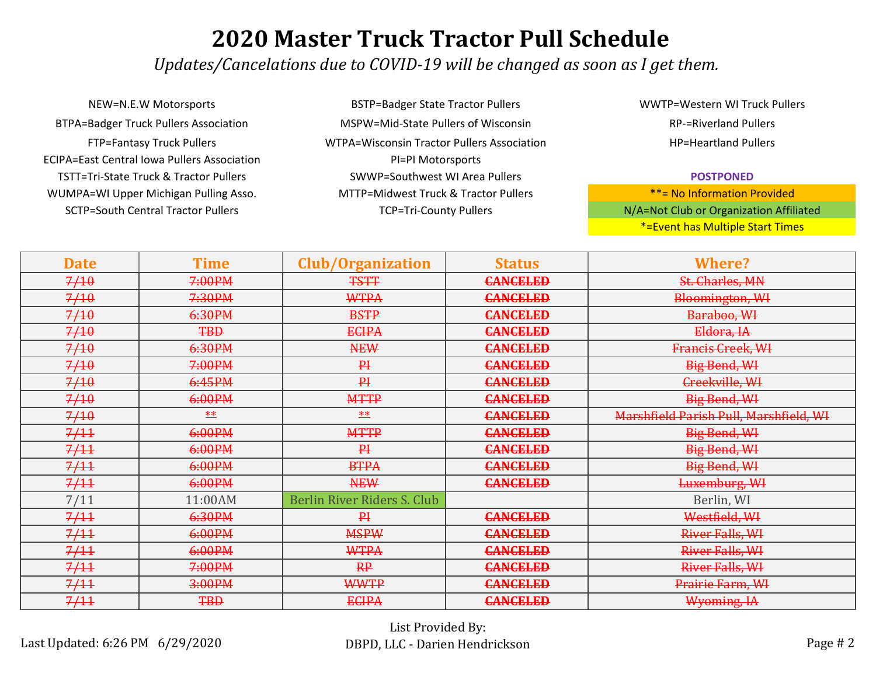*Updates/Cancelations due to COVID-19 will be changed as soon as I get them.*

NEW=N.E.W Motorsports BSTP=Badger State Tractor Pullers BTPA=Badger Truck Pullers Association MSPW=Mid-State Pullers of Wisconsin ECIPA=East Central Iowa Pullers Association PI=PI Motorsports TSTT=Tri-State Truck & Tractor Pullers SWWP=Southwest WI Area Pullers WUMPA=WI Upper Michigan Pulling Asso. MTTP=Midwest Truck & Tractor Pullers SCTP=South Central Tractor Pullers TCP=Tri-County Pullers TCP=Tri-County Pullers

FTP=Fantasy Truck Pullers WTPA=Wisconsin Tractor Pullers Association

WWTP=Western WI Truck Pullers RP-=Riverland Pullers HP=Heartland Pullers

#### **POSTPONED**

| <b>Date</b> | <b>Time</b> | <b>Club/Organization</b>    | <b>Status</b>   | <b>Where?</b>                          |
|-------------|-------------|-----------------------------|-----------------|----------------------------------------|
| 7/10        | 7:00PM      | <b>TSTT</b>                 | <b>CANCELED</b> | St. Charles, MN                        |
| 7/10        | 7:30PM      | WTPA                        | <b>CANCELED</b> | Bloomington, WI                        |
| 7/10        | 6:30PM      | <b>BSTP</b>                 | <b>CANCELED</b> | Baraboo, WI                            |
| 7/10        | <b>TBD</b>  | <b>ECIPA</b>                | <b>CANCELED</b> | Eldora, IA                             |
| 7/10        | 6:30PM      | <b>NEW</b>                  | <b>CANCELED</b> | Francis Greek, WI                      |
| 7/10        | 7:00PM      | $P+$                        | <b>CANCELED</b> | <b>Big Bend, WI</b>                    |
| 7/10        | 6:45PM      | P <sub>1</sub>              | <b>CANCELED</b> | Creekville, WI                         |
| 7/10        | 6:00PM      | <b>MTTP</b>                 | <b>CANCELED</b> | Big Bend, WI                           |
| 7/10        | **          | $***$                       | <b>CANCELED</b> | Marshfield Parish Pull, Marshfield, WI |
| 7/11        | 6:00PM      | <b>MTTP</b>                 | <b>CANCELED</b> | Big Bend, WI                           |
| 7/11        | 6:00PM      | P <sub>1</sub>              | <b>CANCELED</b> | Big Bend, WI                           |
| 7/11        | 6:00PM      | <b>BTPA</b>                 | <b>CANCELED</b> | Big Bend, WI                           |
| 7/11        | 6:00PM      | <b>NEW</b>                  | <b>CANCELED</b> | Luxemburg, WI                          |
| 7/11        | 11:00AM     | Berlin River Riders S. Club |                 | Berlin, WI                             |
| 7/11        | 6:30PM      | $P+$                        | <b>CANCELED</b> | Westfield, WI                          |
| 7/11        | 6:00PM      | <b>MSPW</b>                 | <b>CANCELED</b> | River Falls, WI                        |
| 7/11        | 6:00PM      | <b>WTPA</b>                 | <b>CANCELED</b> | River Falls, WI                        |
| 7/11        | 7:00PM      | RP                          | <b>CANCELED</b> | River Falls, WI                        |
| 7/11        | 3:00PM      | <b>WWTP</b>                 | <b>CANCELED</b> | Prairie Farm, WI                       |
| 7/11        | <b>TBD</b>  | <b>ECIPA</b>                | <b>CANCELED</b> | Wyoming, IA                            |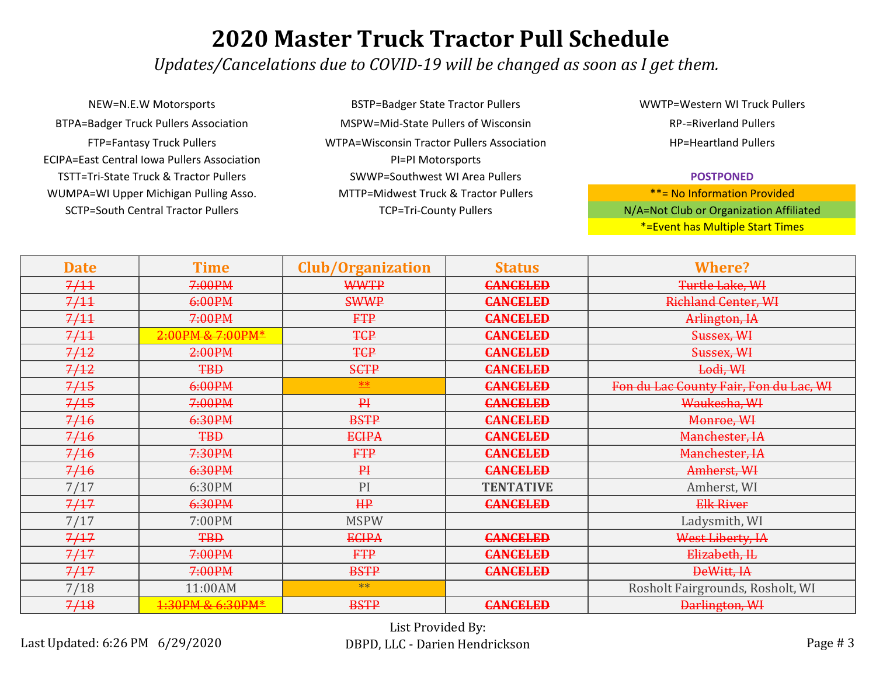*Updates/Cancelations due to COVID-19 will be changed as soon as I get them.*

NEW=N.E.W Motorsports BSTP=Badger State Tractor Pullers BTPA=Badger Truck Pullers Association MSPW=Mid-State Pullers of Wisconsin ECIPA=East Central Iowa Pullers Association PI=PI Motorsports TSTT=Tri-State Truck & Tractor Pullers SWWP=Southwest WI Area Pullers WUMPA=WI Upper Michigan Pulling Asso. MTTP=Midwest Truck & Tractor Pullers SCTP=South Central Tractor Pullers TCP=Tri-County Pullers TCP=Tri-County Pullers

FTP=Fantasy Truck Pullers WTPA=Wisconsin Tractor Pullers Association

WWTP=Western WI Truck Pullers RP-=Riverland Pullers HP=Heartland Pullers

#### **POSTPONED**

| <b>Date</b> | Time              | <b>Club/Organization</b> | <b>Status</b>    | <b>Where?</b>                          |
|-------------|-------------------|--------------------------|------------------|----------------------------------------|
| 7/11        | 7:00PM            | <b>WWTP</b>              | <b>CANCELED</b>  | Turtle Lake, WI                        |
| 7/11        | 6:00PM            | <b>SWWP</b>              | <b>CANCELED</b>  | <b>Richland Center, WI</b>             |
| 7/11        | 7:00PM            | <b>FTP</b>               | <b>CANCELED</b>  | Arlington, IA                          |
| 7/11        | 2:00PM & 7:00PM*  | <b>TCP</b>               | <b>CANCELED</b>  | Sussex, WI                             |
| 7/12        | 2:00PM            | <b>TCP</b>               | <b>CANCELED</b>  | Sussex, WI                             |
| 7/12        | <b>TBD</b>        | <b>SCTP</b>              | <b>CANCELED</b>  | Lodi, WI                               |
| 7/15        | 6:00PM            | **                       | <b>CANCELED</b>  | Fon du Lac County Fair, Fon du Lac, WI |
| 7/15        | 7:00PM            | P                        | <b>CANCELED</b>  | Waukesha, WI                           |
| 7/16        | 6:30PM            | <b>BSTP</b>              | <b>CANCELED</b>  | Monroe, WI                             |
| 7/16        | <b>TBD</b>        | <b>ECIPA</b>             | <b>CANCELED</b>  | Manchester, IA                         |
| 7/16        | 7:30PM            | <b>FTP</b>               | <b>CANCELED</b>  | Manchester, IA                         |
| 7/16        | 6:30PM            | P                        | <b>CANCELED</b>  | Amherst, WI                            |
| 7/17        | 6:30PM            | PI                       | <b>TENTATIVE</b> | Amherst, WI                            |
| 7/17        | 6:30PM            | HP                       | <b>CANCELED</b>  | <b>Elk River</b>                       |
| 7/17        | 7:00PM            | <b>MSPW</b>              |                  | Ladysmith, WI                          |
| 7/17        | <b>TBD</b>        | <b>ECIPA</b>             | <b>CANCELED</b>  | West Liberty, IA                       |
| 7/17        | 7:00PM            | <b>FTP</b>               | <b>CANCELED</b>  | Elizabeth, IL                          |
| 7/17        | <del>7:00PM</del> | <b>BSTP</b>              | <b>CANCELED</b>  | DeWitt, IA                             |
| 7/18        | 11:00AM           | $**$                     |                  | Rosholt Fairgrounds, Rosholt, WI       |
| 7/18        | 1:30PM & 6:30PM*  | <b>BSTP</b>              | <b>CANCELED</b>  | Darlington, WI                         |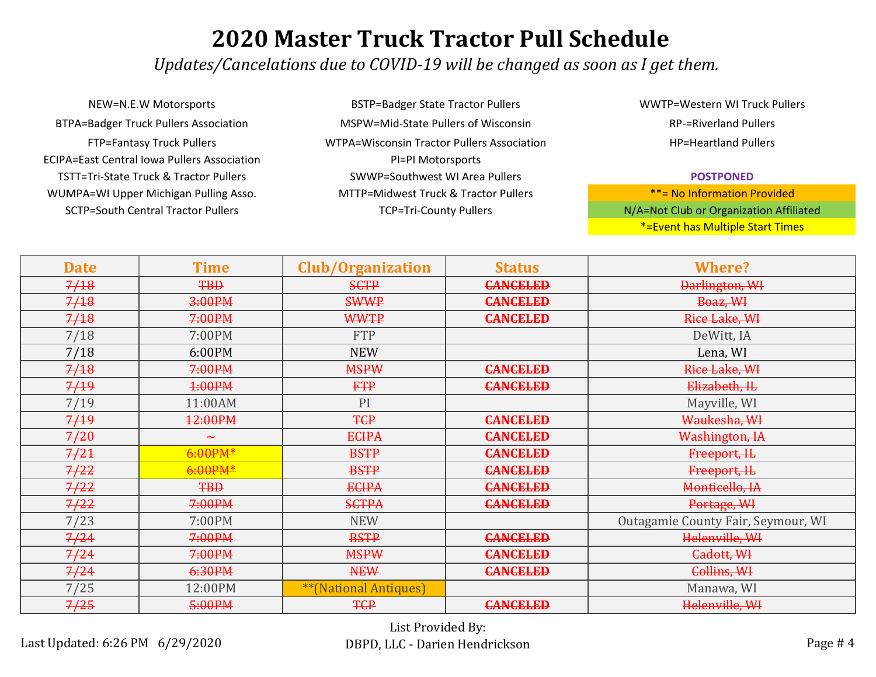*Updates/Cancelations due to COVID-19 will be changed as soon as I get them.*

NEW=N.E.W Motorsports BSTP=Badger State Tractor Pullers BTPA=Badger Truck Pullers Association MSPW=Mid-State Pullers of Wisconsin ECIPA=East Central Iowa Pullers Association PI=PI Motorsports TSTT=Tri-State Truck & Tractor Pullers SWWP=Southwest WI Area Pullers WUMPA=WI Upper Michigan Pulling Asso. MTTP=Midwest Truck & Tractor Pullers SCTP=South Central Tractor Pullers TCP=Tri-County Pullers TCP=Tri-County Pullers

FTP=Fantasy Truck Pullers WTPA=Wisconsin Tractor Pullers Association

WWTP=Western WI Truck Pullers RP-=Riverland Pullers HP=Heartland Pullers

#### **POSTPONED**

| <b>Date</b> | <b>Time</b>         | <b>Club/Organization</b>     | <b>Status</b>   | <b>Where?</b>                      |
|-------------|---------------------|------------------------------|-----------------|------------------------------------|
| 7/18        | <b>TBD</b>          | <b>SCTP</b>                  | <b>CANCELED</b> | Darlington, WI                     |
| 7/18        | 3:00PM              | <b>SWWP</b>                  | <b>CANCELED</b> | Boaz, WH                           |
| 7/18        | 7:00PM              | <b>WWTP</b>                  | <b>CANCELED</b> | Rice Lake, WI                      |
| 7/18        | 7:00PM              | <b>FTP</b>                   |                 | DeWitt, IA                         |
| 7/18        | 6:00PM              | <b>NEW</b>                   |                 | Lena, WI                           |
| 7/18        | 7:00PM              | <b>MSPW</b>                  | <b>CANCELED</b> | Rice Lake, WI                      |
| 7/19        | 1:00PM              | <b>FTP</b>                   | <b>CANCELED</b> | Elizabeth, IL                      |
| 7/19        | 11:00AM             | PI                           |                 | Mayville, WI                       |
| 7/19        | 12:00PM             | <b>TCP</b>                   | <b>CANCELED</b> | Waukesha, WI                       |
| 7/20        | ىم                  | <b>ECIPA</b>                 | <b>CANCELED</b> | Washington, IA                     |
| 7/21        | 6:00PM <sup>*</sup> | <b>BSTP</b>                  | <b>CANCELED</b> | Freeport, IL                       |
| 7/22        | $6:00PM*$           | <b>BSTP</b>                  | <b>CANCELED</b> | Freeport, IL                       |
| 7/22        | <b>TBD</b>          | <b>ECIPA</b>                 | <b>CANCELED</b> | Monticello, IA                     |
| 7/22        | 7:00PM              | <b>SCTPA</b>                 | <b>CANCELED</b> | Portage, WI                        |
| 7/23        | 7:00PM              | <b>NEW</b>                   |                 | Outagamie County Fair, Seymour, WI |
| 7/24        | 7:00PM              | <b>BSTP</b>                  | <b>CANCELED</b> | Helenville, WI                     |
| 7/24        | 7:00PM              | <b>MSPW</b>                  | <b>CANCELED</b> | Cadott, WH                         |
| 7/24        | 6:30PM              | <b>NEW</b>                   | <b>CANCELED</b> | Collins, W <sub>4</sub>            |
| 7/25        | 12:00PM             | <b>**(National Antiques)</b> |                 | Manawa, WI                         |
| 7/25        | 5:00PM              | <b>TCP</b>                   | <b>CANCELED</b> | Helenville, WI                     |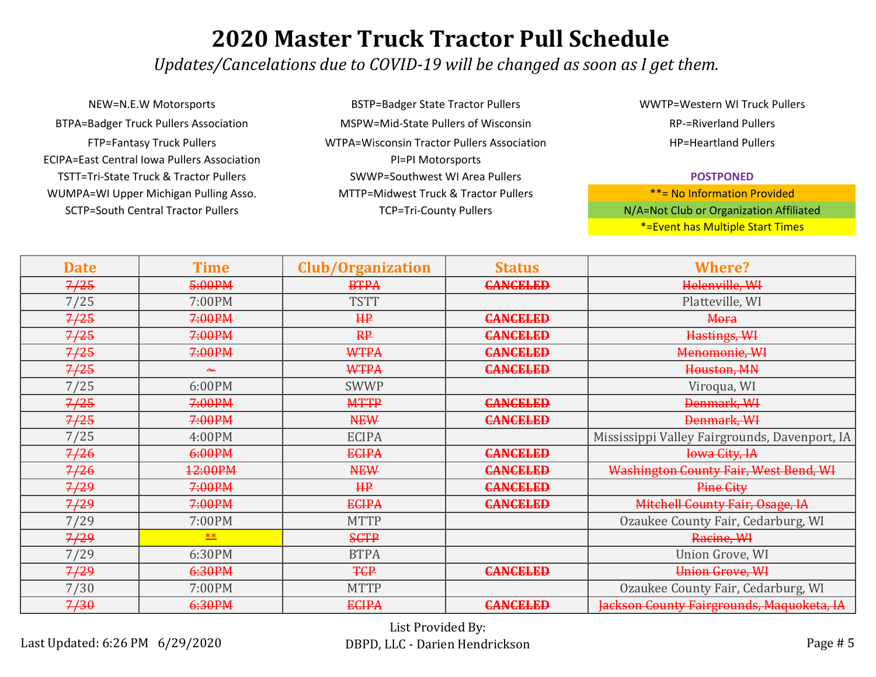*Updates/Cancelations due to COVID-19 will be changed as soon as I get them.*

ECIPA=East Central Iowa Pullers Association PI=PI Motorsports TSTT=Tri-State Truck & Tractor Pullers SWWP=Southwest WI Area Pullers WUMPA=WI Upper Michigan Pulling Asso. MTTP=Midwest Truck & Tractor Pullers NEW=N.E.W Motorsports BSTP=Badger State Tractor Pullers BTPA=Badger Truck Pullers Association MSPW=Mid-State Pullers of Wisconsin SCTP=South Central Tractor Pullers TCP=Tri-County Pullers TCP=Tri-County Pullers

FTP=Fantasy Truck Pullers WTPA=Wisconsin Tractor Pullers Association

WWTP=Western WI Truck Pullers RP-=Riverland Pullers HP=Heartland Pullers

#### **POSTPONED**

| <b>Date</b> | <b>Time</b> | <b>Club/Organization</b> | <b>Status</b>   | <b>Where?</b>                                 |
|-------------|-------------|--------------------------|-----------------|-----------------------------------------------|
| 7/25        | 5:00PM      | <b>BTPA</b>              | <b>CANCELED</b> | Helenville, WI                                |
| 7/25        | 7:00PM      | <b>TSTT</b>              |                 | Platteville, WI                               |
| 7/25        | 7:00PM      | HP                       | <b>CANCELED</b> | Mora                                          |
| 7/25        | 7:00PM      | RP                       | <b>CANCELED</b> | Hastings, WI                                  |
| 7/25        | 7:00PM      | <b>WTPA</b>              | <b>CANCELED</b> | Menomonie, WI                                 |
| 7/25        | عد          | <b>WTPA</b>              | <b>CANCELED</b> | Houston, MN                                   |
| 7/25        | 6:00PM      | <b>SWWP</b>              |                 | Viroqua, WI                                   |
| 7/25        | 7:00PM      | <b>MTTP</b>              | <b>CANCELED</b> | Denmark, WI                                   |
| 7/25        | 7:00PM      | <b>NEW</b>               | <b>CANCELED</b> | Denmark, WI                                   |
| 7/25        | 4:00PM      | <b>ECIPA</b>             |                 | Mississippi Valley Fairgrounds, Davenport, IA |
| 7/26        | 6:00PM      | <b>ECIPA</b>             | <b>CANCELED</b> | <b>Iowa City, IA</b>                          |
| 7/26        | 12:00PM     | <b>NEW</b>               | <b>CANCELED</b> | Washington County Fair, West Bend, WI         |
| 7/29        | 7:00PM      | HP                       | <b>CANCELED</b> | Pine City                                     |
| 7/29        | 7:00PM      | <b>ECIPA</b>             | <b>CANCELED</b> | <b>Mitchell County Fair, Osage, IA</b>        |
| 7/29        | 7:00PM      | <b>MTTP</b>              |                 | Ozaukee County Fair, Cedarburg, WI            |
| 7/29        | **          | <b>SCTP</b>              |                 | Racine, WI                                    |
| 7/29        | 6:30PM      | <b>BTPA</b>              |                 | Union Grove, WI                               |
| 7/29        | 6:30PM      | <b>TCP</b>               | <b>CANCELED</b> | <b>Union Grove, WI</b>                        |
| 7/30        | 7:00PM      | <b>MTTP</b>              |                 | Ozaukee County Fair, Cedarburg, WI            |
| 7/30        | 6:30PM      | <b>ECIPA</b>             | <b>CANCELED</b> | Jackson County Fairgrounds, Maquoketa, IA     |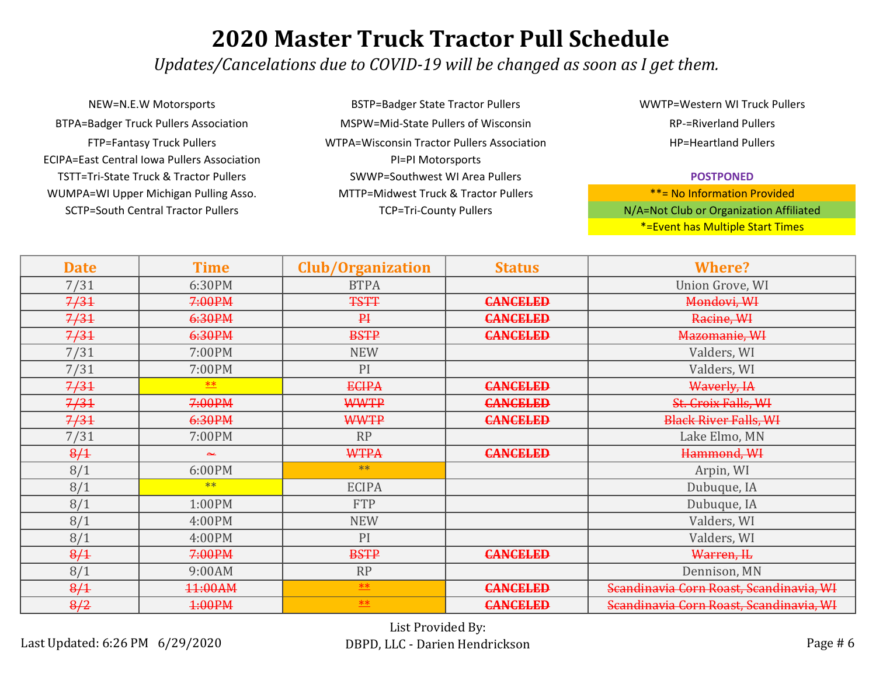*Updates/Cancelations due to COVID-19 will be changed as soon as I get them.*

SCTP=South Central Tractor Pullers TCP=Tri-County Pullers TCP=Tri-County Pullers NEW=N.E.W Motorsports BSTP=Badger State Tractor Pullers BTPA=Badger Truck Pullers Association MSPW=Mid-State Pullers of Wisconsin ECIPA=East Central Iowa Pullers Association PI=PI Motorsports TSTT=Tri-State Truck & Tractor Pullers SWWP=Southwest WI Area Pullers WUMPA=WI Upper Michigan Pulling Asso. MTTP=Midwest Truck & Tractor Pullers

FTP=Fantasy Truck Pullers WTPA=Wisconsin Tractor Pullers Association

WWTP=Western WI Truck Pullers RP-=Riverland Pullers HP=Heartland Pullers

#### **POSTPONED**

| <b>Date</b> | <b>Time</b> | <b>Club/Organization</b> | <b>Status</b>   | <b>Where?</b>                           |
|-------------|-------------|--------------------------|-----------------|-----------------------------------------|
| 7/31        | 6:30PM      | <b>BTPA</b>              |                 | Union Grove, WI                         |
| 7/31        | 7:00PM      | <b>TSTT</b>              | <b>CANCELED</b> | Mondovi, WI                             |
| 7/31        | 6:30PM      | P <sub>1</sub>           | <b>CANCELED</b> | Racine, WI                              |
| 7/31        | 6:30PM      | <b>BSTP</b>              | <b>CANCELED</b> | Mazomanie, WI                           |
| 7/31        | 7:00PM      | <b>NEW</b>               |                 | Valders, WI                             |
| 7/31        | 7:00PM      | PI                       |                 | Valders, WI                             |
| 7/31        | <b>**</b>   | <b>ECIPA</b>             | <b>CANCELED</b> | Waverly, IA                             |
| 7/31        | 7:00PM      | <b>WWTP</b>              | <b>CANCELED</b> | St. Croix Falls, WI                     |
| 7/31        | 6:30PM      | <b>WWTP</b>              | <b>CANCELED</b> | <b>Black River Falls, WI</b>            |
| 7/31        | 7:00PM      | <b>RP</b>                |                 | Lake Elmo, MN                           |
| 8/1         | عبد         | <b>WTPA</b>              | <b>CANCELED</b> | Hammond, WI                             |
| 8/1         | 6:00PM      | $**$                     |                 | Arpin, WI                               |
| 8/1         | $**$        | <b>ECIPA</b>             |                 | Dubuque, IA                             |
| 8/1         | 1:00PM      | <b>FTP</b>               |                 | Dubuque, IA                             |
| 8/1         | 4:00PM      | <b>NEW</b>               |                 | Valders, WI                             |
| 8/1         | 4:00PM      | PI                       |                 | Valders, WI                             |
| 8/1         | 7:00PM      | <b>BSTP</b>              | <b>CANCELED</b> | Warren, IL                              |
| 8/1         | 9:00AM      | <b>RP</b>                |                 | Dennison, MN                            |
| 8/1         | 11:00AM     | $**$                     | <b>CANCELED</b> | Scandinavia Corn Roast, Scandinavia, WI |
| 8/2         | 4:00PM      | <b>**</b>                | <b>CANCELED</b> | Scandinavia Corn Roast, Scandinavia, WI |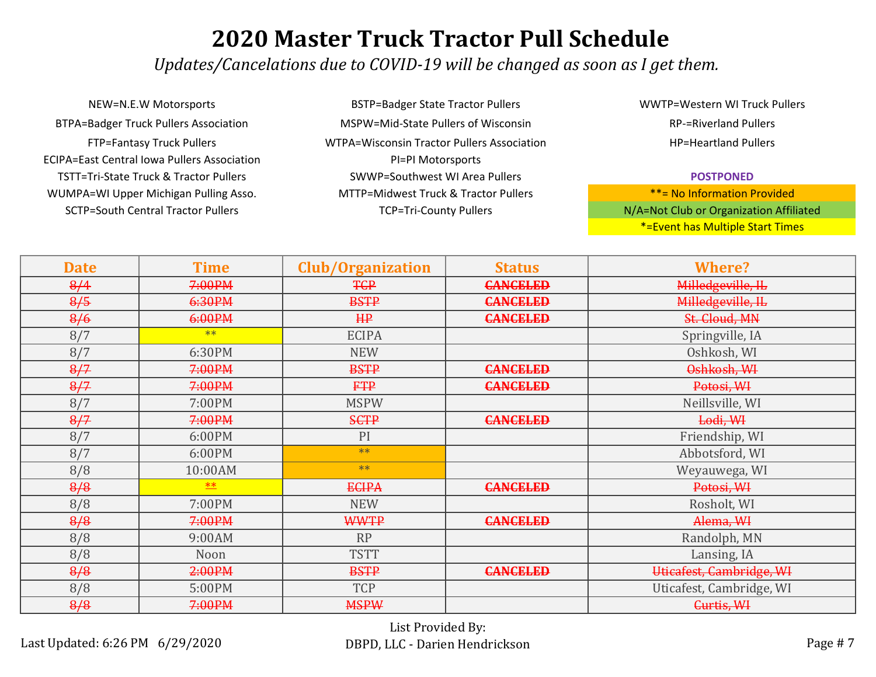*Updates/Cancelations due to COVID-19 will be changed as soon as I get them.*

ECIPA=East Central Iowa Pullers Association PI=PI Motorsports TSTT=Tri-State Truck & Tractor Pullers SWWP=Southwest WI Area Pullers WUMPA=WI Upper Michigan Pulling Asso. MTTP=Midwest Truck & Tractor Pullers NEW=N.E.W Motorsports BSTP=Badger State Tractor Pullers BTPA=Badger Truck Pullers Association MSPW=Mid-State Pullers of Wisconsin SCTP=South Central Tractor Pullers TCP=Tri-County Pullers TCP=Tri-County Pullers

FTP=Fantasy Truck Pullers WTPA=Wisconsin Tractor Pullers Association

WWTP=Western WI Truck Pullers RP-=Riverland Pullers HP=Heartland Pullers

#### **POSTPONED**

| <b>Date</b> | <b>Time</b> | <b>Club/Organization</b> | <b>Status</b>   | <b>Where?</b>            |
|-------------|-------------|--------------------------|-----------------|--------------------------|
| 8/4         | 7:00PM      | <b>TCP</b>               | <b>CANCELED</b> | Milledgeville, IL        |
| 8/5         | 6:30PM      | <b>BSTP</b>              | <b>CANCELED</b> | Milledgeville, IL        |
| 8/6         | 6:00PM      | HP                       | <b>CANCELED</b> | St. Cloud, MN            |
| 8/7         | $**$        | <b>ECIPA</b>             |                 | Springville, IA          |
| 8/7         | 6:30PM      | <b>NEW</b>               |                 | Oshkosh, WI              |
| 8/7         | 7:00PM      | <b>BSTP</b>              | <b>CANCELED</b> | Oshkosh, WI              |
| 8/7         | 7:00PM      | <b>FTP</b>               | <b>CANCELED</b> | Potosi, W <sub>4</sub>   |
| 8/7         | 7:00PM      | <b>MSPW</b>              |                 | Neillsville, WI          |
| 8/7         | 7:00PM      | <b>SCTP</b>              | <b>CANCELED</b> | Lodi, WI                 |
| 8/7         | 6:00PM      | PI                       |                 | Friendship, WI           |
| 8/7         | 6:00PM      | $**$                     |                 | Abbotsford, WI           |
| 8/8         | 10:00AM     | $**$                     |                 | Weyauwega, WI            |
| 8/8         | $*$         | <b>ECIPA</b>             | <b>CANCELED</b> | Potosi, W <sub>4</sub>   |
| 8/8         | 7:00PM      | <b>NEW</b>               |                 | Rosholt, WI              |
| 8/8         | 7:00PM      | <b>WWTP</b>              | <b>CANCELED</b> | Alema, W <sub>4</sub>    |
| 8/8         | 9:00AM      | RP                       |                 | Randolph, MN             |
| 8/8         | Noon        | <b>TSTT</b>              |                 | Lansing, IA              |
| 8/8         | 2:00PM      | <b>BSTP</b>              | <b>CANCELED</b> | Uticafest, Cambridge, WI |
| 8/8         | 5:00PM      | <b>TCP</b>               |                 | Uticafest, Cambridge, WI |
| 8/8         | 7:00PM      | <b>MSPW</b>              |                 | Curtis, WH               |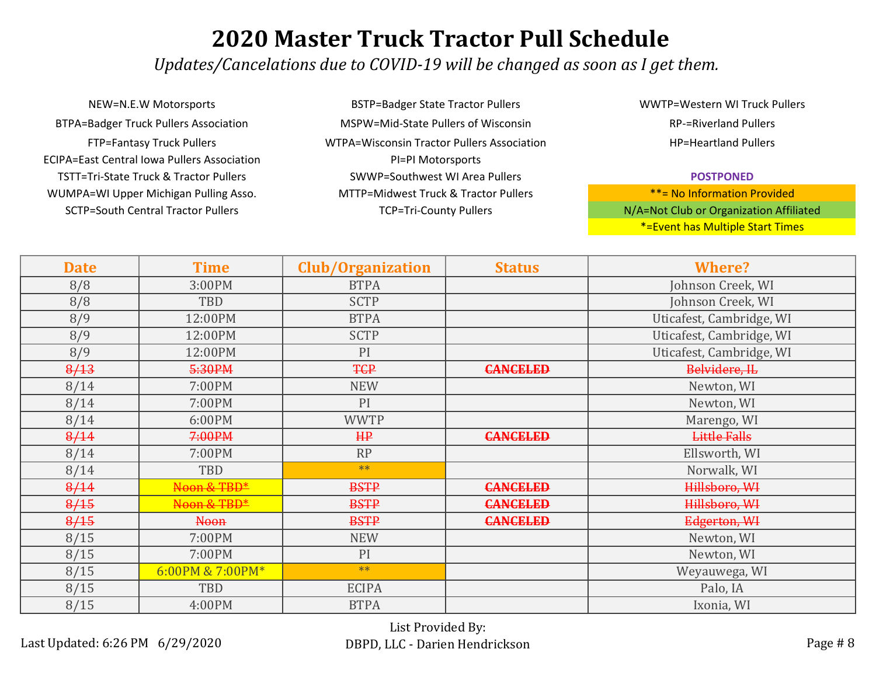*Updates/Cancelations due to COVID-19 will be changed as soon as I get them.*

SCTP=South Central Tractor Pullers TCP=Tri-County Pullers TCP=Tri-County Pullers NEW=N.E.W Motorsports BSTP=Badger State Tractor Pullers BTPA=Badger Truck Pullers Association MSPW=Mid-State Pullers of Wisconsin ECIPA=East Central Iowa Pullers Association PI=PI Motorsports TSTT=Tri-State Truck & Tractor Pullers SWWP=Southwest WI Area Pullers WUMPA=WI Upper Michigan Pulling Asso. MTTP=Midwest Truck & Tractor Pullers

FTP=Fantasy Truck Pullers WTPA=Wisconsin Tractor Pullers Association

WWTP=Western WI Truck Pullers RP-=Riverland Pullers HP=Heartland Pullers

#### **POSTPONED**

| <b>Date</b> | <b>Time</b>      | <b>Club/Organization</b> | <b>Status</b>   | <b>Where?</b>            |
|-------------|------------------|--------------------------|-----------------|--------------------------|
| 8/8         | 3:00PM           | <b>BTPA</b>              |                 | Johnson Creek, WI        |
| 8/8         | TBD              | <b>SCTP</b>              |                 | Johnson Creek, WI        |
| 8/9         | 12:00PM          | <b>BTPA</b>              |                 | Uticafest, Cambridge, WI |
| 8/9         | 12:00PM          | <b>SCTP</b>              |                 | Uticafest, Cambridge, WI |
| 8/9         | 12:00PM          | PI                       |                 | Uticafest, Cambridge, WI |
| 8/13        | 5:30PM           | <b>TCP</b>               | <b>CANCELED</b> | Belvidere, IL            |
| 8/14        | 7:00PM           | <b>NEW</b>               |                 | Newton, WI               |
| 8/14        | 7:00PM           | PI                       |                 | Newton, WI               |
| 8/14        | 6:00PM           | <b>WWTP</b>              |                 | Marengo, WI              |
| 8/14        | 7:00PM           | HP                       | <b>CANCELED</b> | <b>Little Falls</b>      |
| 8/14        | 7:00PM           | RP                       |                 | Ellsworth, WI            |
| 8/14        | TBD              | $**$                     |                 | Norwalk, WI              |
| 8/14        | Noon & TBD*      | <b>BSTP</b>              | <b>CANCELED</b> | Hillsboro, WI            |
| 8/15        | Noon & TBD*      | <b>BSTP</b>              | <b>CANCELED</b> | Hillsboro, WI            |
| 8/15        | <b>Noon</b>      | <b>BSTP</b>              | <b>CANCELED</b> | Edgerton, WI             |
| 8/15        | 7:00PM           | <b>NEW</b>               |                 | Newton, WI               |
| 8/15        | 7:00PM           | PI                       |                 | Newton, WI               |
| 8/15        | 6:00PM & 7:00PM* | $**$                     |                 | Weyauwega, WI            |
| 8/15        | TBD              | <b>ECIPA</b>             |                 | Palo, IA                 |
| 8/15        | 4:00PM           | <b>BTPA</b>              |                 | Ixonia, WI               |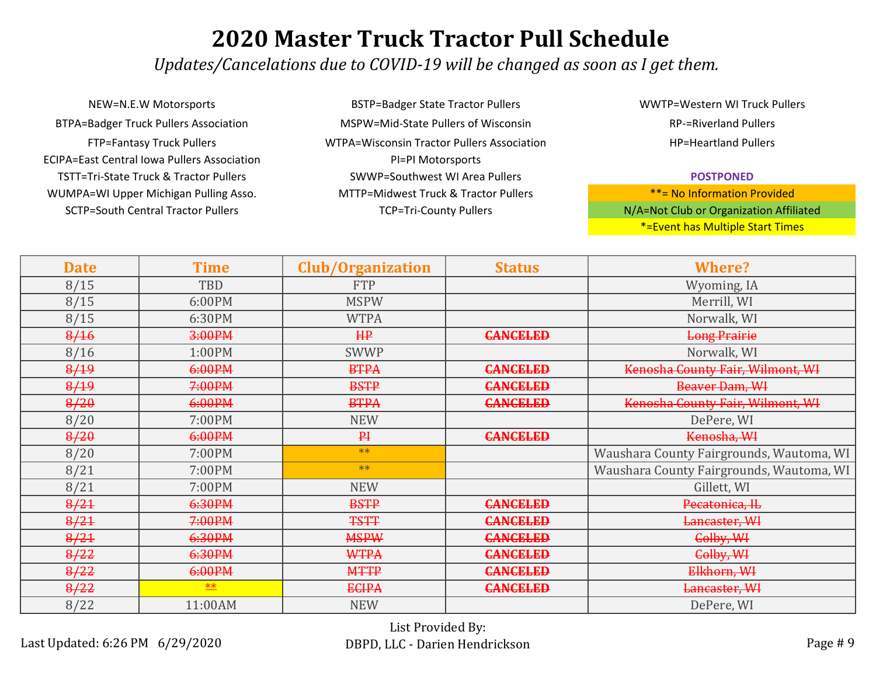*Updates/Cancelations due to COVID-19 will be changed as soon as I get them.*

NEW=N.E.W Motorsports BSTP=Badger State Tractor Pullers BTPA=Badger Truck Pullers Association MSPW=Mid-State Pullers of Wisconsin ECIPA=East Central Iowa Pullers Association PI=PI Motorsports TSTT=Tri-State Truck & Tractor Pullers SWWP=Southwest WI Area Pullers WUMPA=WI Upper Michigan Pulling Asso. MTTP=Midwest Truck & Tractor Pullers SCTP=South Central Tractor Pullers TCP=Tri-County Pullers TCP=Tri-County Pullers

FTP=Fantasy Truck Pullers WTPA=Wisconsin Tractor Pullers Association

WWTP=Western WI Truck Pullers RP-=Riverland Pullers HP=Heartland Pullers

#### **POSTPONED**

| <b>Date</b> | <b>Time</b> | <b>Club/Organization</b> | <b>Status</b>   | <b>Where?</b>                            |
|-------------|-------------|--------------------------|-----------------|------------------------------------------|
| 8/15        | TBD         | <b>FTP</b>               |                 | Wyoming, IA                              |
| 8/15        | 6:00PM      | <b>MSPW</b>              |                 | Merrill, WI                              |
| 8/15        | 6:30PM      | <b>WTPA</b>              |                 | Norwalk, WI                              |
| 8/16        | 3:00PM      | HP                       | <b>CANCELED</b> | <b>Long Prairie</b>                      |
| 8/16        | 1:00PM      | <b>SWWP</b>              |                 | Norwalk, WI                              |
| 8/19        | 6:00PM      | <b>BTPA</b>              | <b>CANCELED</b> | Kenosha County Fair, Wilmont, WI         |
| 8/19        | 7:00PM      | <b>BSTP</b>              | <b>CANCELED</b> | Beaver Dam, WI                           |
| 8/20        | 6:00PM      | <b>BTPA</b>              | <b>CANCELED</b> | Kenosha County Fair, Wilmont, WI         |
| 8/20        | 7:00PM      | <b>NEW</b>               |                 | DePere, WI                               |
| 8/20        | 6:00PM      | $P+$                     | <b>CANCELED</b> | Kenosha, WI                              |
| 8/20        | 7:00PM      | $**$                     |                 | Waushara County Fairgrounds, Wautoma, WI |
| 8/21        | 7:00PM      | $**$                     |                 | Waushara County Fairgrounds, Wautoma, WI |
| 8/21        | 7:00PM      | <b>NEW</b>               |                 | Gillett, WI                              |
| 8/21        | 6:30PM      | <b>BSTP</b>              | <b>CANCELED</b> | Pecatonica, IL                           |
| 8/21        | 7:00PM      | <b>TSTT</b>              | <b>CANCELED</b> | Lancaster, WI                            |
| 8/21        | 6:30PM      | <b>MSPW</b>              | <b>CANCELED</b> | Colby, WI                                |
| 8/22        | 6:30PM      | <b>WTPA</b>              | <b>CANCELED</b> | Colby, WI                                |
| 8/22        | 6:00PM      | <b>MTTP</b>              | <b>CANCELED</b> | Elkhorn, WI                              |
| 8/22        | $**$        | <b>ECIPA</b>             | <b>CANCELED</b> | Lancaster, WI                            |
| 8/22        | 11:00AM     | <b>NEW</b>               |                 | DePere, WI                               |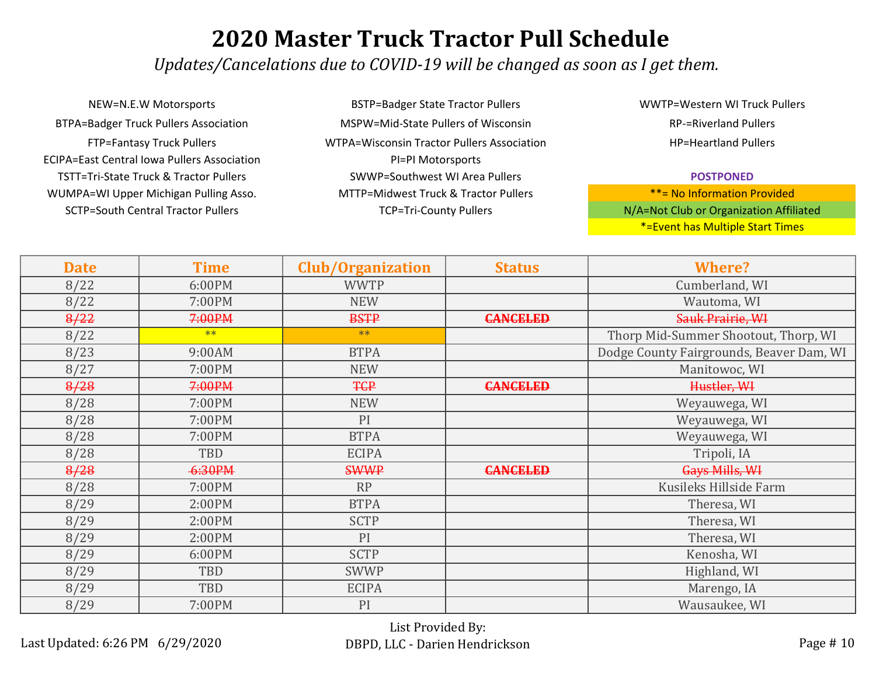*Updates/Cancelations due to COVID-19 will be changed as soon as I get them.*

NEW=N.E.W Motorsports BSTP=Badger State Tractor Pullers BTPA=Badger Truck Pullers Association MSPW=Mid-State Pullers of Wisconsin ECIPA=East Central Iowa Pullers Association **PI=PI Motorsports** TSTT=Tri-State Truck & Tractor Pullers SWWP=Southwest WI Area Pullers WUMPA=WI Upper Michigan Pulling Asso. MTTP=Midwest Truck & Tractor Pullers SCTP=South Central Tractor Pullers TCP=Tri-County Pullers TCP=Tri-County Pullers

FTP=Fantasy Truck Pullers WTPA=Wisconsin Tractor Pullers Association

WWTP=Western WI Truck Pullers RP-=Riverland Pullers HP=Heartland Pullers

#### **POSTPONED**

| <b>Date</b> | <b>Time</b> | <b>Club/Organization</b> | <b>Status</b>   | <b>Where?</b>                            |
|-------------|-------------|--------------------------|-----------------|------------------------------------------|
| 8/22        | 6:00PM      | <b>WWTP</b>              |                 | Cumberland, WI                           |
| 8/22        | 7:00PM      | <b>NEW</b>               |                 | Wautoma, WI                              |
| 8/22        | 7:00PM      | <b>BSTP</b>              | <b>CANCELED</b> | Sauk Prairie, WI                         |
| 8/22        | $**$        | $**$                     |                 | Thorp Mid-Summer Shootout, Thorp, WI     |
| 8/23        | 9:00AM      | <b>BTPA</b>              |                 | Dodge County Fairgrounds, Beaver Dam, WI |
| 8/27        | 7:00PM      | <b>NEW</b>               |                 | Manitowoc, WI                            |
| 8/28        | 7:00PM      | <b>TCP</b>               | <b>CANCELED</b> | Hustler, WI                              |
| 8/28        | 7:00PM      | <b>NEW</b>               |                 | Weyauwega, WI                            |
| 8/28        | 7:00PM      | PI                       |                 | Weyauwega, WI                            |
| 8/28        | 7:00PM      | <b>BTPA</b>              |                 | Weyauwega, WI                            |
| 8/28        | TBD         | <b>ECIPA</b>             |                 | Tripoli, IA                              |
| 8/28        | 6:30PM      | <b>SWWP</b>              | <b>CANCELED</b> | Gays Mills, WI                           |
| 8/28        | 7:00PM      | RP                       |                 | Kusileks Hillside Farm                   |
| 8/29        | 2:00PM      | <b>BTPA</b>              |                 | Theresa, WI                              |
| 8/29        | 2:00PM      | <b>SCTP</b>              |                 | Theresa, WI                              |
| 8/29        | 2:00PM      | PI                       |                 | Theresa, WI                              |
| 8/29        | 6:00PM      | <b>SCTP</b>              |                 | Kenosha, WI                              |
| 8/29        | TBD         | <b>SWWP</b>              |                 | Highland, WI                             |
| 8/29        | TBD         | <b>ECIPA</b>             |                 | Marengo, IA                              |
| 8/29        | 7:00PM      | PI                       |                 | Wausaukee, WI                            |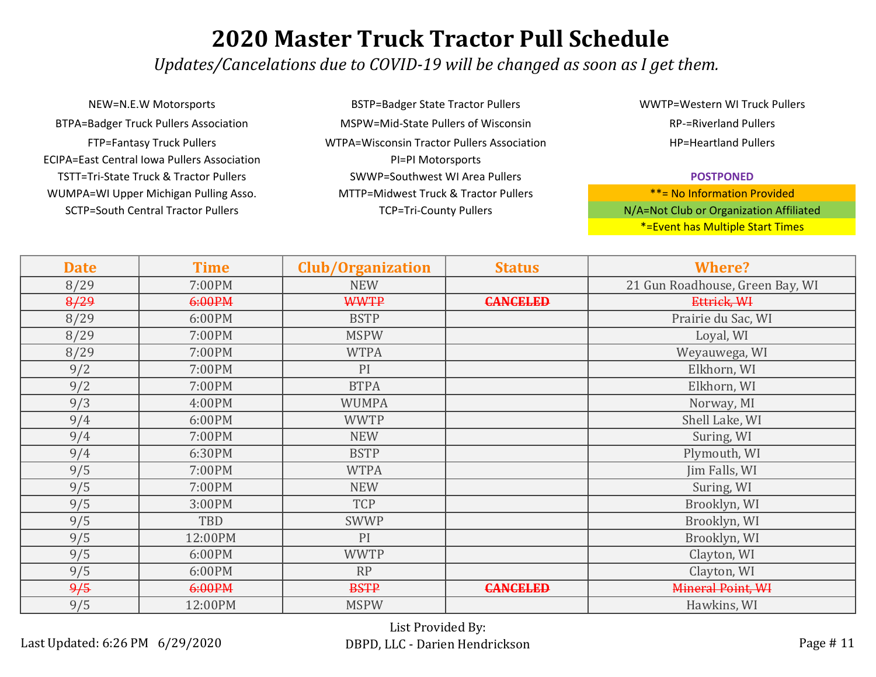*Updates/Cancelations due to COVID-19 will be changed as soon as I get them.*

NEW=N.E.W Motorsports BSTP=Badger State Tractor Pullers BTPA=Badger Truck Pullers Association MSPW=Mid-State Pullers of Wisconsin ECIPA=East Central Iowa Pullers Association **PI=PI Motorsports** TSTT=Tri-State Truck & Tractor Pullers SWWP=Southwest WI Area Pullers WUMPA=WI Upper Michigan Pulling Asso. MTTP=Midwest Truck & Tractor Pullers SCTP=South Central Tractor Pullers TCP=Tri-County Pullers TCP=Tri-County Pullers

FTP=Fantasy Truck Pullers WTPA=Wisconsin Tractor Pullers Association

WWTP=Western WI Truck Pullers RP-=Riverland Pullers HP=Heartland Pullers

#### **POSTPONED**

| <b>Date</b> | <b>Time</b> | <b>Club/Organization</b> | <b>Status</b>   | <b>Where?</b>                   |
|-------------|-------------|--------------------------|-----------------|---------------------------------|
| 8/29        | 7:00PM      | <b>NEW</b>               |                 | 21 Gun Roadhouse, Green Bay, WI |
| 8/29        | 6:00PM      | <b>WWTP</b>              | <b>CANCELED</b> | Ettrick, WI                     |
| 8/29        | 6:00PM      | <b>BSTP</b>              |                 | Prairie du Sac, WI              |
| 8/29        | 7:00PM      | <b>MSPW</b>              |                 | Loyal, WI                       |
| 8/29        | 7:00PM      | <b>WTPA</b>              |                 | Weyauwega, WI                   |
| 9/2         | 7:00PM      | PI                       |                 | Elkhorn, WI                     |
| 9/2         | 7:00PM      | <b>BTPA</b>              |                 | Elkhorn, WI                     |
| 9/3         | 4:00PM      | <b>WUMPA</b>             |                 | Norway, MI                      |
| 9/4         | 6:00PM      | <b>WWTP</b>              |                 | Shell Lake, WI                  |
| 9/4         | 7:00PM      | <b>NEW</b>               |                 | Suring, WI                      |
| 9/4         | 6:30PM      | <b>BSTP</b>              |                 | Plymouth, WI                    |
| 9/5         | 7:00PM      | <b>WTPA</b>              |                 | Jim Falls, WI                   |
| 9/5         | 7:00PM      | <b>NEW</b>               |                 | Suring, WI                      |
| 9/5         | 3:00PM      | <b>TCP</b>               |                 | Brooklyn, WI                    |
| 9/5         | TBD         | <b>SWWP</b>              |                 | Brooklyn, WI                    |
| 9/5         | 12:00PM     | PI                       |                 | Brooklyn, WI                    |
| 9/5         | 6:00PM      | <b>WWTP</b>              |                 | Clayton, WI                     |
| 9/5         | 6:00PM      | <b>RP</b>                |                 | Clayton, WI                     |
| 9/5         | 6:00PM      | <b>BSTP</b>              | <b>CANCELED</b> | Mineral Point, WI               |
| 9/5         | 12:00PM     | <b>MSPW</b>              |                 | Hawkins, WI                     |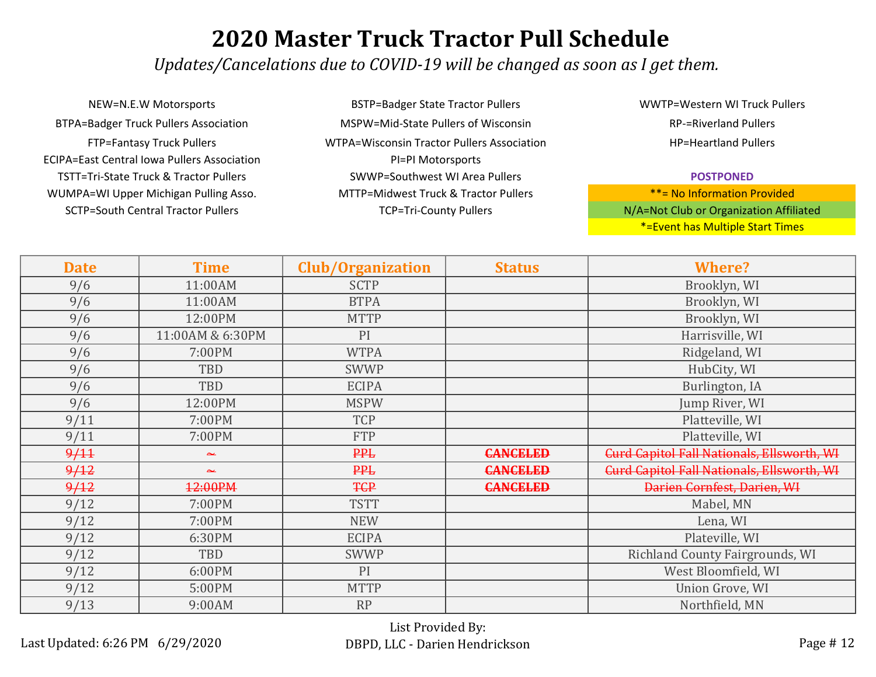*Updates/Cancelations due to COVID-19 will be changed as soon as I get them.*

NEW=N.E.W Motorsports BSTP=Badger State Tractor Pullers SCTP=South Central Tractor Pullers TCP=Tri-County Pullers TCP=Tri-County Pullers BTPA=Badger Truck Pullers Association MSPW=Mid-State Pullers of Wisconsin ECIPA=East Central Iowa Pullers Association PI=PI Motorsports TSTT=Tri-State Truck & Tractor Pullers SWWP=Southwest WI Area Pullers WUMPA=WI Upper Michigan Pulling Asso. MTTP=Midwest Truck & Tractor Pullers

FTP=Fantasy Truck Pullers WTPA=Wisconsin Tractor Pullers Association

WWTP=Western WI Truck Pullers RP-=Riverland Pullers HP=Heartland Pullers

#### **POSTPONED**

| <b>Date</b> | <b>Time</b>      | <b>Club/Organization</b> | <b>Status</b>   | <b>Where?</b>                                     |
|-------------|------------------|--------------------------|-----------------|---------------------------------------------------|
| 9/6         | 11:00AM          | <b>SCTP</b>              |                 | Brooklyn, WI                                      |
| 9/6         | 11:00AM          | <b>BTPA</b>              |                 | Brooklyn, WI                                      |
| 9/6         | 12:00PM          | <b>MTTP</b>              |                 | Brooklyn, WI                                      |
| 9/6         | 11:00AM & 6:30PM | PI                       |                 | Harrisville, WI                                   |
| 9/6         | 7:00PM           | <b>WTPA</b>              |                 | Ridgeland, WI                                     |
| 9/6         | TBD              | <b>SWWP</b>              |                 | HubCity, WI                                       |
| 9/6         | TBD              | <b>ECIPA</b>             |                 | Burlington, IA                                    |
| 9/6         | 12:00PM          | <b>MSPW</b>              |                 | Jump River, WI                                    |
| 9/11        | 7:00PM           | <b>TCP</b>               |                 | Platteville, WI                                   |
| 9/11        | 7:00PM           | <b>FTP</b>               |                 | Platteville, WI                                   |
| 9/11        | عنجا             | <b>PPL</b>               | <b>CANCELED</b> | <b>Curd Capitol Fall Nationals, Ellsworth, WI</b> |
| 9/12        | عد               | <b>PPL</b>               | <b>CANCELED</b> | <b>Curd Capitol Fall Nationals, Ellsworth, WI</b> |
| 9/12        | 12:00PM          | <b>TCP</b>               | <b>CANCELED</b> | Darien Cornfest, Darien, WI                       |
| 9/12        | 7:00PM           | <b>TSTT</b>              |                 | Mabel, MN                                         |
| 9/12        | 7:00PM           | <b>NEW</b>               |                 | Lena, WI                                          |
| 9/12        | 6:30PM           | <b>ECIPA</b>             |                 | Plateville, WI                                    |
| 9/12        | TBD              | <b>SWWP</b>              |                 | Richland County Fairgrounds, WI                   |
| 9/12        | 6:00PM           | PI                       |                 | West Bloomfield, WI                               |
| 9/12        | 5:00PM           | <b>MTTP</b>              |                 | Union Grove, WI                                   |
| 9/13        | 9:00AM           | <b>RP</b>                |                 | Northfield, MN                                    |